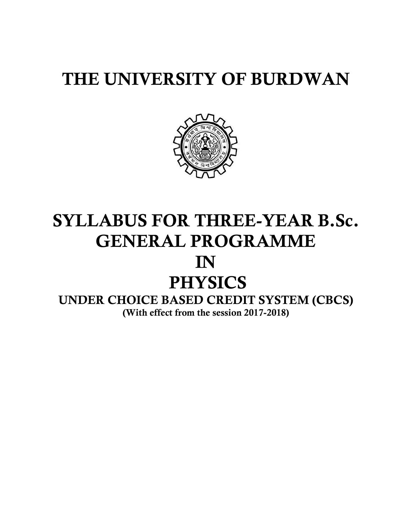# **THE UNIVERSITY OF BURDWAN**



# **SYLLABUS FOR THREE-YEAR B.Sc. GENERAL PROGRAMME IN PHYSICS**

**UNDER CHOICE BASED CREDIT SYSTEM (CBCS) (With effect from the session 2017-2018)**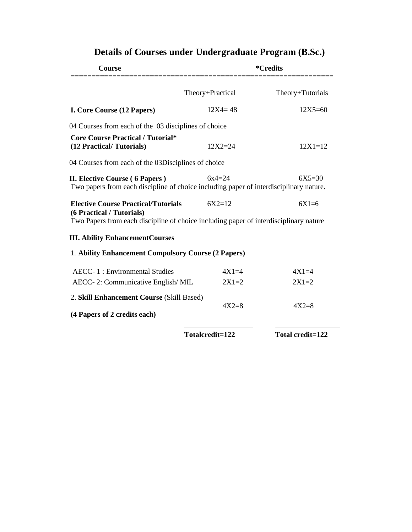| Course                                                                                                                                                           | <i>*</i> Credits |                  |  |
|------------------------------------------------------------------------------------------------------------------------------------------------------------------|------------------|------------------|--|
|                                                                                                                                                                  | Theory+Practical | Theory+Tutorials |  |
| I. Core Course (12 Papers)                                                                                                                                       | $12X4 = 48$      | $12X5 = 60$      |  |
| 04 Courses from each of the 03 disciplines of choice                                                                                                             |                  |                  |  |
| <b>Core Course Practical / Tutorial*</b><br>(12 Practical/Tutorials)                                                                                             | $12X2 = 24$      | $12X1=12$        |  |
| 04 Courses from each of the 03Disciplines of choice                                                                                                              |                  |                  |  |
| <b>II. Elective Course (6 Papers)</b><br>Two papers from each discipline of choice including paper of interdisciplinary nature.                                  | $6x4=24$         | $6X5 = 30$       |  |
| <b>Elective Course Practical/Tutorials</b><br>(6 Practical / Tutorials)<br>Two Papers from each discipline of choice including paper of interdisciplinary nature | $6X2=12$         | $6X1=6$          |  |
| <b>III. Ability EnhancementCourses</b>                                                                                                                           |                  |                  |  |
| 1. Ability Enhancement Compulsory Course (2 Papers)                                                                                                              |                  |                  |  |
| <b>AECC-1: Environmental Studies</b>                                                                                                                             | $4X1=4$          | $4X1=4$          |  |
| AECC-2: Communicative English/MIL                                                                                                                                | $2X1=2$          | $2X1=2$          |  |
| 2. Skill Enhancement Course (Skill Based)<br>(4 Papers of 2 credits each)                                                                                        | $4X2=8$          | $4X2=8$          |  |
|                                                                                                                                                                  | Totalcredit=122  | Total credit=122 |  |

# **Details of Courses under Undergraduate Program (B.Sc.)**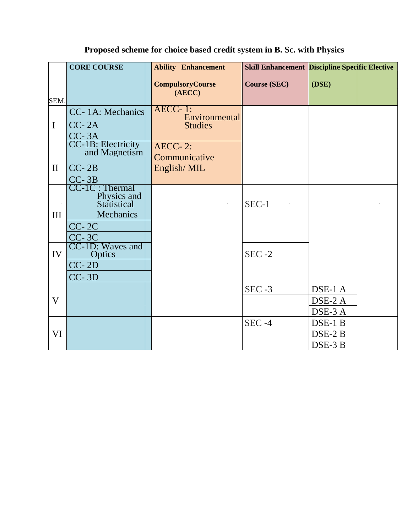|                    | <b>CORE COURSE</b>                                                                                                                    | <b>Ability Enhancement</b>        |                     | <b>Skill Enhancement Discipline Specific Elective</b> |
|--------------------|---------------------------------------------------------------------------------------------------------------------------------------|-----------------------------------|---------------------|-------------------------------------------------------|
| SEM.               |                                                                                                                                       | <b>CompulsoryCourse</b><br>(AECC) | <b>Course (SEC)</b> | (DSE)                                                 |
|                    | CC-1A: Mechanics                                                                                                                      | $AECC-1$ :<br>Environmental       |                     |                                                       |
| $\mathbf I$        | $CC-2A$<br>$CC-3A$                                                                                                                    | <b>Studies</b>                    |                     |                                                       |
|                    | CC-1B: Electricity<br>and Magnetism                                                                                                   | AECC-2:<br>Communicative          |                     |                                                       |
| $\mathbf{I}$       | $CC-2B$                                                                                                                               | English/MIL                       |                     |                                                       |
| $\mathbf{m}$<br>IV | $CC-3B$<br>$CC-1C: Thermal$<br>Physics and<br>Statistical<br>Mechanics<br>$CC-2C$<br>$CC-3C$<br>CC-1D: Waves and<br>Optics<br>$CC-2D$ |                                   | $SEC-1$<br>$SEC -2$ |                                                       |
|                    | $CC-3D$                                                                                                                               |                                   |                     |                                                       |
| $\mathbf{V}$       |                                                                                                                                       |                                   | $SEC -3$            | DSE-1 A<br>DSE-2 A<br>DSE-3 A                         |
| VI                 |                                                                                                                                       |                                   | $SEC -4$            | $\overline{\text{DSE-1 B}}$<br>DSE-2 B<br>DSE-3 B     |

## **Proposed scheme for choice based credit system in B. Sc. with Physics**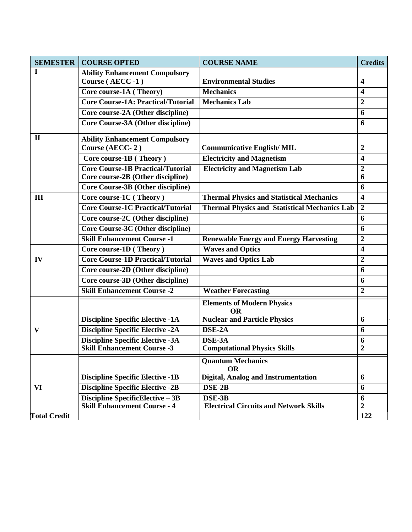| <b>SEMESTER</b>     | <b>COURSE OPTED</b>                       | <b>COURSE NAME</b>                                   | <b>Credits</b>          |
|---------------------|-------------------------------------------|------------------------------------------------------|-------------------------|
| I                   | <b>Ability Enhancement Compulsory</b>     |                                                      |                         |
|                     | Course (AECC-1)                           | <b>Environmental Studies</b>                         | $\overline{\mathbf{4}}$ |
|                     | Core course-1A (Theory)                   | <b>Mechanics</b>                                     | $\overline{\mathbf{4}}$ |
|                     | <b>Core Course-1A: Practical/Tutorial</b> | <b>Mechanics Lab</b>                                 | $\overline{2}$          |
|                     | Core course-2A (Other discipline)         |                                                      | 6                       |
|                     | Core Course-3A (Other discipline)         |                                                      | 6                       |
| $\mathbf{I}$        | <b>Ability Enhancement Compulsory</b>     |                                                      |                         |
|                     | Course (AECC-2)                           | <b>Communicative English/MIL</b>                     | $\boldsymbol{2}$        |
|                     | Core course-1B (Theory)                   | <b>Electricity and Magnetism</b>                     | 4                       |
|                     | <b>Core Course-1B Practical/Tutorial</b>  | <b>Electricity and Magnetism Lab</b>                 | $\boldsymbol{2}$        |
|                     | Core course-2B (Other discipline)         |                                                      | 6                       |
|                     | <b>Core Course-3B (Other discipline)</b>  |                                                      | 6                       |
| III                 | Core course-1C (Theory)                   | <b>Thermal Physics and Statistical Mechanics</b>     | $\overline{\mathbf{4}}$ |
|                     | <b>Core Course-1C Practical/Tutorial</b>  | <b>Thermal Physics and Statistical Mechanics Lab</b> | $\boldsymbol{2}$        |
|                     | Core course-2C (Other discipline)         |                                                      | 6                       |
|                     | <b>Core Course-3C (Other discipline)</b>  |                                                      | 6                       |
|                     | <b>Skill Enhancement Course -1</b>        | <b>Renewable Energy and Energy Harvesting</b>        | $\boldsymbol{2}$        |
|                     | Core course-1D (Theory)                   | <b>Waves and Optics</b>                              | $\overline{\mathbf{4}}$ |
| IV                  | <b>Core Course-1D Practical/Tutorial</b>  | <b>Waves and Optics Lab</b>                          | $\overline{2}$          |
|                     | Core course-2D (Other discipline)         |                                                      | 6                       |
|                     | Core course-3D (Other discipline)         |                                                      | 6                       |
|                     | <b>Skill Enhancement Course -2</b>        | <b>Weather Forecasting</b>                           | $\boldsymbol{2}$        |
|                     |                                           | <b>Elements of Modern Physics</b><br><b>OR</b>       |                         |
|                     | <b>Discipline Specific Elective -1A</b>   | <b>Nuclear and Particle Physics</b>                  | 6                       |
| V                   | <b>Discipline Specific Elective -2A</b>   | DSE-2A                                               | 6                       |
|                     | <b>Discipline Specific Elective -3A</b>   | DSE-3A                                               | 6                       |
|                     | <b>Skill Enhancement Course -3</b>        | <b>Computational Physics Skills</b>                  | 2                       |
|                     |                                           | <b>Quantum Mechanics</b><br><b>OR</b>                |                         |
|                     | <b>Discipline Specific Elective -1B</b>   | Digital, Analog and Instrumentation                  | 6                       |
| VI                  | <b>Discipline Specific Elective -2B</b>   | DSE-2B                                               | 6                       |
|                     | <b>Discipline SpecificElective - 3B</b>   | DSE-3B                                               | 6                       |
|                     | <b>Skill Enhancement Course - 4</b>       | <b>Electrical Circuits and Network Skills</b>        | $\boldsymbol{2}$        |
| <b>Total Credit</b> |                                           |                                                      | 122                     |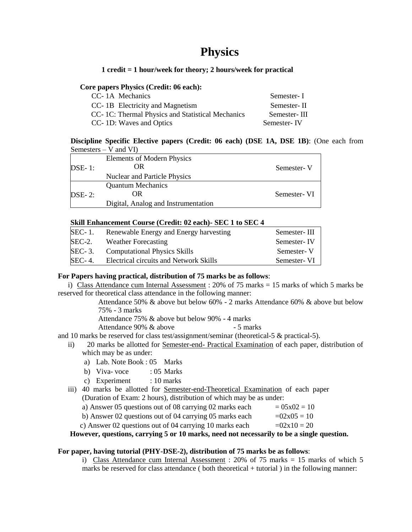## **Physics**

### **1 credit = 1 hour/week for theory; 2 hours/week for practical**

### **Core papers Physics (Credit: 06 each):**

| CC-1A Mechanics                                  | Semester-I   |
|--------------------------------------------------|--------------|
| CC-1B Electricity and Magnetism                  | Semester-II  |
| CC-1C: Thermal Physics and Statistical Mechanics | Semester-III |
| CC- 1D: Waves and Optics                         | Semester-IV  |

### **Discipline Specific Elective papers (Credit: 06 each) (DSE 1A, DSE 1B)**: (One each from Semesters – V and VI)

| $DSE-1$ :                    | <b>Elements of Modern Physics</b><br>OR | Semester-V  |
|------------------------------|-----------------------------------------|-------------|
|                              | Nuclear and Particle Physics            |             |
|                              | <b>Quantum Mechanics</b>                |             |
| $\overline{\text{DSE}}$ - 2: | OR                                      | Semester-VI |
|                              | Digital, Analog and Instrumentation     |             |

### **Skill Enhancement Course (Credit: 02 each)- SEC 1 to SEC 4**

| <b>SEC-1.</b> | Renewable Energy and Energy harvesting | Semester-III |
|---------------|----------------------------------------|--------------|
| $SEC-2.$      | <b>Weather Forecasting</b>             | Semester-IV  |
| <b>SEC-3.</b> | <b>Computational Physics Skills</b>    | Semester-V   |
| <b>SEC-4.</b> | Electrical circuits and Network Skills | Semester-VI  |

### **For Papers having practical, distribution of 75 marks be as follows**:

i) Class Attendance cum Internal Assessment :  $20\%$  of 75 marks = 15 marks of which 5 marks be reserved for theoretical class attendance in the following manner:

> Attendance 50% & above but below 60% - 2 marks Attendance 60% & above but below 75% - 3 marks

Attendance 75% & above but below 90% - 4 marks

Attendance 90% & above - 5 marks

and 10 marks be reserved for class test/assignment/seminar (theoretical-5 & practical-5).

- ii) 20 marks be allotted for Semester-end- Practical Examination of each paper, distribution of which may be as under:
	- a) Lab. Note Book : 05 Marks
	- b) Viva- voce  $\qquad$  : 05 Marks
	- c) Experiment : 10 marks
- iii) 40 marks be allotted for Semester-end-Theoretical Examination of each paper (Duration of Exam: 2 hours), distribution of which may be as under:

| a) Answer 05 questions out of 08 carrying 02 marks each | $= 05x02 = 10$ |
|---------------------------------------------------------|----------------|
| b) Answer 02 questions out of 04 carrying 05 marks each | $=02x05=10$    |
| c) Answer 02 questions out of 04 carrying 10 marks each | $=02x10=20$    |
|                                                         |                |

**However, questions, carrying 5 or 10 marks, need not necessarily to be a single question.**

### **For paper, having tutorial (PHY-DSE-2), distribution of 75 marks be as follows**:

i) Class Attendance cum Internal Assessment : 20% of 75 marks  $= 15$  marks of which 5 marks be reserved for class attendance ( both theoretical + tutorial ) in the following manner: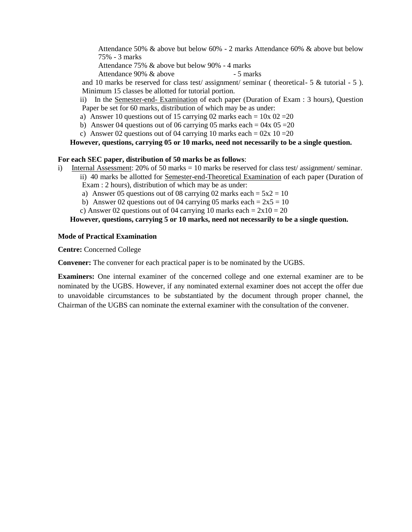Attendance 50% & above but below 60% - 2 marks Attendance 60% & above but below 75% - 3 marks

Attendance 75% & above but below 90% - 4 marks

Attendance 90% & above - 5 marks

and 10 marks be reserved for class test/ assignment/ seminar ( theoretical- 5 & tutorial - 5 ). Minimum 15 classes be allotted for tutorial portion.

ii) In the Semester-end- Examination of each paper (Duration of Exam : 3 hours), Question Paper be set for 60 marks, distribution of which may be as under:

- a) Answer 10 questions out of 15 carrying 02 marks each =  $10x$  02 = 20
- b) Answer 04 questions out of 06 carrying 05 marks each =  $04x$  05 = 20
- c) Answer 02 questions out of 04 carrying 10 marks each =  $02x 10 = 20$

### **However, questions, carrying 05 or 10 marks, need not necessarily to be a single question.**

### **For each SEC paper, distribution of 50 marks be as follows**:

- i) Internal Assessment: 20% of 50 marks = 10 marks be reserved for class test/ assignment/ seminar. ii) 40 marks be allotted for Semester-end-Theoretical Examination of each paper (Duration of
	- Exam : 2 hours), distribution of which may be as under:
	- a) Answer 05 questions out of 08 carrying 02 marks each =  $5x^2 = 10$
	- b) Answer 02 questions out of 04 carrying 05 marks each =  $2x5 = 10$
	- c) Answer 02 questions out of 04 carrying 10 marks each =  $2x10 = 20$

### **However, questions, carrying 5 or 10 marks, need not necessarily to be a single question.**

### **Mode of Practical Examination**

**Centre:** Concerned College

**Convener:** The convener for each practical paper is to be nominated by the UGBS.

**Examiners:** One internal examiner of the concerned college and one external examiner are to be nominated by the UGBS. However, if any nominated external examiner does not accept the offer due to unavoidable circumstances to be substantiated by the document through proper channel, the Chairman of the UGBS can nominate the external examiner with the consultation of the convener.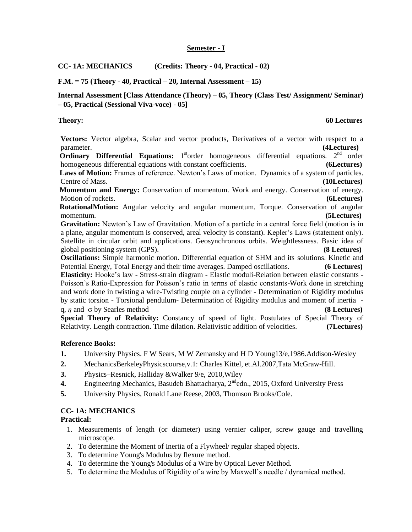### **Semester - I**

**CC- 1A: MECHANICS (Credits: Theory - 04, Practical - 02)**

**F.M. = 75 (Theory - 40, Practical – 20, Internal Assessment – 15)**

**Internal Assessment [Class Attendance (Theory) – 05, Theory (Class Test/ Assignment/ Seminar) – 05, Practical (Sessional Viva-voce) - 05]**

**Theory: 60 Lectures**

**Vectors:** Vector algebra, Scalar and vector products, Derivatives of a vector with respect to a parameter. **(4Lectures)**

**Ordinary Differential Equations:** 1<sup>st</sup>order homogeneous differential equations. 2<sup>nd</sup> order homogeneous differential equations with constant coefficients. **(6Lectures)**

 **Laws of Motion:** Frames of reference. Newton's Laws of motion.Dynamics of a system of particles. Centre of Mass. **(10Lectures)**

 **Momentum and Energy:** Conservation of momentum. Work and energy. Conservation of energy. Motion of rockets. **(6Lectures)**

 **RotationalMotion:** Angular velocity and angular momentum. Torque. Conservation of angular momentum. **(5Lectures)**

**Gravitation:** Newton's Law of Gravitation. Motion of a particle in a central force field (motion is in a plane, angular momentum is conserved, areal velocity is constant). Kepler's Laws (statement only). Satellite in circular orbit and applications. Geosynchronous orbits. Weightlessness. Basic idea of global positioning system (GPS). **(8 Lectures)**

**Oscillations:** Simple harmonic motion. Differential equation of SHM and its solutions. Kinetic and Potential Energy, Total Energy and their time averages. Damped oscillations. **(6 Lectures) Elasticity:** Hooke's law - Stress-strain diagram - Elastic moduli-Relation between elastic constants - Poisson's Ratio-Expression for Poisson's ratio in terms of elastic constants-Work done in stretching and work done in twisting a wire-Twisting couple on a cylinder - Determination of Rigidity modulus by static torsion - Torsional pendulum- Determination of Rigidity modulus and moment of inertia q,  $\eta$  and  $\sigma$  by Searles method **(8 Lectures)** 

**Special Theory of Relativity:** Constancy of speed of light. Postulates of Special Theory of Relativity. Length contraction. Time dilation. Relativistic addition of velocities. **(7Lectures)**

### **Reference Books:**

- **1.** University Physics. F W Sears, M W Zemansky and H D Young13/e,1986.Addison-Wesley
- **2.** MechanicsBerkeleyPhysicscourse,v.1: Charles Kittel, et.Al.2007,Tata McGraw-Hill.
- **3.** Physics–Resnick, Halliday &Walker 9/e, 2010,Wiley
- **4.** Engineering Mechanics, Basudeb Bhattacharya, 2<sup>nd</sup>edn., 2015, Oxford University Press
- **5.** University Physics, Ronald Lane Reese, 2003, Thomson Brooks/Cole.

### **CC- 1A: MECHANICS**

### **Practical:**

- 1. Measurements of length (or diameter) using vernier caliper, screw gauge and travelling microscope.
- 2. To determine the Moment of Inertia of a Flywheel/ regular shaped objects.
- 3. To determine Young's Modulus by flexure method.
- 4. To determine the Young's Modulus of a Wire by Optical Lever Method.
- 5. To determine the Modulus of Rigidity of a wire by Maxwell's needle / dynamical method.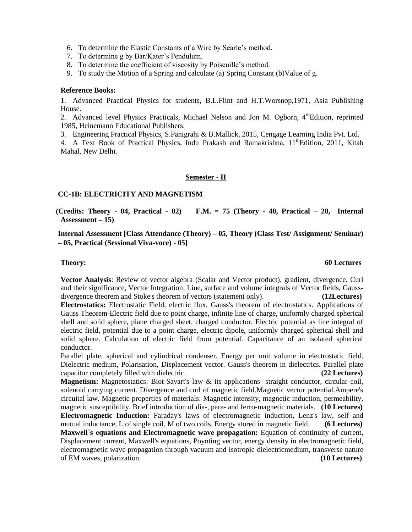6. To determine the Elastic Constants of a Wire by Searle's method.

7. To determine g by Bar/Kater's Pendulum.

8. To determine the coefficient of viscosity by Poiseuille's method.

9. To study the Motion of a Spring and calculate (a) Spring Constant (b)Value of g.

### **Reference Books:**

1. Advanced Practical Physics for students, B.L.Flint and H.T.Worsnop,1971, Asia Publishing House.

2. Advanced level Physics Practicals, Michael Nelson and Jon M. Ogborn, 4<sup>th</sup>Edition, reprinted 1985, Heinemann Educational Publishers.

3. Engineering Practical Physics, S.Panigrahi & B.Mallick, 2015, Cengage Learning India Pvt. Ltd.

4. A Text Book of Practical Physics, Indu Prakash and Ramakrishna,  $11<sup>th</sup>$ Edition, 2011, Kitab Mahal, New Delhi.

### **Semester - II**

### **CC-1B: ELECTRICITY AND MAGNETISM**

 **(Credits: Theory - 04, Practical - 02) F.M. = 75 (Theory - 40, Practical – 20, Internal Assessment – 15)**

**Internal Assessment [Class Attendance (Theory) – 05, Theory (Class Test/ Assignment/ Seminar) – 05, Practical (Sessional Viva-voce) - 05]**

### **Theory: 60 Lectures**

**Vector Analysis**: Review of vector algebra (Scalar and Vector product), gradient, divergence, Curl and their significance, Vector Integration, Line, surface and volume integrals of Vector fields, Gaussdivergence theorem and Stoke's theorem of vectors (statement only). **(12Lectures)**

**Electrostatics:** Electrostatic Field, electric flux, Gauss's theorem of electrostatics. Applications of Gauss Theorem-Electric field due to point charge, infinite line of charge, uniformly charged spherical shell and solid sphere, plane charged sheet, charged conductor. Electric potential as line integral of electric field, potential due to a point charge, electric dipole, uniformly charged spherical shell and solid sphere. Calculation of electric field from potential. Capacitance of an isolated spherical conductor.

Parallel plate, spherical and cylindrical condenser. Energy per unit volume in electrostatic field. Dielectric medium, Polarisation, Displacement vector. Gauss's theorem in dielectrics. Parallel plate capacitor completely filled with dielectric. **(22 Lectures)**

**Magnetism:** Magnetostatics: Biot-Savart's law & its applications- straight conductor, circular coil, solenoid carrying current. Divergence and curl of magnetic field.Magnetic vector potential.Ampere's circuital law. Magnetic properties of materials: Magnetic intensity, magnetic induction, permeability, magnetic susceptibility. Brief introduction of dia-, para- and ferro-magnetic materials. **(10 Lectures) Electromagnetic Induction:** Faraday's laws of electromagnetic induction, Lenz's law, self and mutual inductance, L of single coil, M of two coils. Energy stored in magnetic field. **(6 Lectures) Maxwell`s equations and Electromagnetic wave propagation:** Equation of continuity of current, Displacement current, Maxwell's equations, Poynting vector, energy density in electromagnetic field, electromagnetic wave propagation through vacuum and isotropic dielectricmedium, transverse nature of EM waves, polarization. **(10 Lectures)**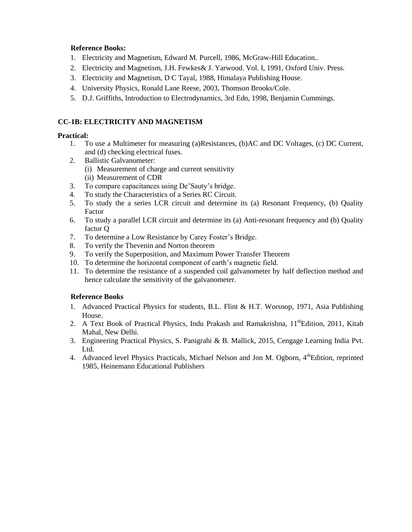### **Reference Books:**

- 1. Electricity and Magnetism, Edward M. Purcell, 1986, McGraw-Hill Education..
- 2. Electricity and Magnetism, J.H. Fewkes& J. Yarwood. Vol. I, 1991, Oxford Univ. Press.
- 3. Electricity and Magnetism, D C Tayal, 1988, Himalaya Publishing House.
- 4. University Physics, Ronald Lane Reese, 2003, Thomson Brooks/Cole.
- 5. D.J. Griffiths, Introduction to Electrodynamics, 3rd Edn, 1998, Benjamin Cummings.

### **CC-1B: ELECTRICITY AND MAGNETISM**

### **Practical:**

- 1. To use a Multimeter for measuring (a)Resistances, (b)AC and DC Voltages, (c) DC Current, and (d) checking electrical fuses.
- 2. Ballistic Galvanometer:
	- (i) Measurement of charge and current sensitivity
	- (ii) Measurement of CDR
- 3. To compare capacitances using De'Sauty's bridge.
- 4. To study the Characteristics of a Series RC Circuit.
- 5. To study the a series LCR circuit and determine its (a) Resonant Frequency, (b) Quality Factor
- 6. To study a parallel LCR circuit and determine its (a) Anti-resonant frequency and (b) Quality factor Q
- 7. To determine a Low Resistance by Carey Foster's Bridge.
- 8. To verify the Thevenin and Norton theorem
- 9. To verify the Superposition, and Maximum Power Transfer Theorem
- 10. To determine the horizontal component of earth's magnetic field.
- 11. To determine the resistance of a suspended coil galvanometer by half deflection method and hence calculate the sensitivity of the galvanometer.

### **Reference Books**

- 1. Advanced Practical Physics for students, B.L. Flint & H.T. Worsnop, 1971, Asia Publishing House.
- 2. A Text Book of Practical Physics, Indu Prakash and Ramakrishna, 11<sup>th</sup>Edition, 2011, Kitab Mahal, New Delhi.
- 3. Engineering Practical Physics, S. Panigrahi & B. Mallick, 2015, Cengage Learning India Pvt. Ltd.
- 4. Advanced level Physics Practicals, Michael Nelson and Jon M. Ogborn, 4<sup>th</sup>Edition, reprinted 1985, Heinemann Educational Publishers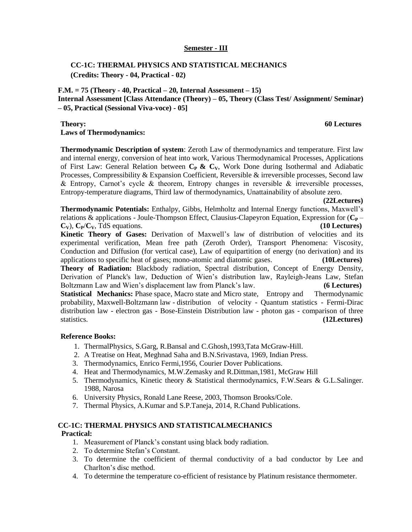### **Semester - III**

### **CC-1C: THERMAL PHYSICS AND STATISTICAL MECHANICS (Credits: Theory - 04, Practical - 02)**

### **F.M. = 75 (Theory - 40, Practical – 20, Internal Assessment – 15)**

**Internal Assessment [Class Attendance (Theory) – 05, Theory (Class Test/ Assignment/ Seminar) – 05, Practical (Sessional Viva-voce) - 05]**

### **Theory: 60 Lectures**

**Laws of Thermodynamics:**

**Thermodynamic Description of system**: Zeroth Law of thermodynamics and temperature. First law and internal energy, conversion of heat into work, Various Thermodynamical Processes, Applications of First Law: General Relation between **CP & CV**, Work Done during Isothermal and Adiabatic Processes, Compressibility & Expansion Coefficient, Reversible & irreversible processes, Second law & Entropy, Carnot's cycle & theorem, Entropy changes in reversible & irreversible processes, Entropy-temperature diagrams, Third law of thermodynamics, Unattainability of absolute zero.

 **(22Lectures)**

**Thermodynamic Potentials:** Enthalpy, Gibbs, Helmholtz and Internal Energy functions, Maxwell's relations & applications - Joule-Thompson Effect, Clausius-Clapeyron Equation, Expression for  $(C_P \mathbf{C}_V$ ),  $\mathbf{C}_P/\mathbf{C}_V$ , TdS equations. **(10 Lectures)** 

**Kinetic Theory of Gases:** Derivation of Maxwell's law of distribution of velocities and its experimental verification, Mean free path (Zeroth Order), Transport Phenomena: Viscosity, Conduction and Diffusion (for vertical case), Law of equipartition of energy (no derivation) and its applications to specific heat of gases; mono-atomic and diatomic gases. **(10Lectures)**

**Theory of Radiation:** Blackbody radiation, Spectral distribution, Concept of Energy Density, Derivation of Planck's law, Deduction of Wien's distribution law, Rayleigh-Jeans Law, Stefan Boltzmann Law and Wien's displacement law from Planck's law. **(6 Lectures) Statistical Mechanics:** Phase space, Macro state and Micro state, Entropy and Thermodynamic probability, Maxwell-Boltzmann law - distribution of velocity - Quantum statistics - Fermi-Dirac

distribution law - electron gas - Bose-Einstein Distribution law - photon gas - comparison of three statistics. **(12Lectures)**

### **Reference Books:**

- 1. ThermalPhysics, S.Garg, R.Bansal and C.Ghosh,1993,Tata McGraw-Hill.
- 2. A Treatise on Heat, Meghnad Saha and B.N.Srivastava, 1969, Indian Press.
- 3. Thermodynamics, Enrico Fermi,1956, Courier Dover Publications.
- 4. Heat and Thermodynamics, M.W.Zemasky and R.Dittman,1981, McGraw Hill
- 5. Thermodynamics, Kinetic theory & Statistical thermodynamics, F.W.Sears & G.L.Salinger. 1988, Narosa
- 6. University Physics, Ronald Lane Reese, 2003, Thomson Brooks/Cole.
- 7. Thermal Physics, A.Kumar and S.P.Taneja, 2014, R.Chand Publications.

### **CC-1C: THERMAL PHYSICS AND STATISTICALMECHANICS Practical:**

- 1. Measurement of Planck's constant using black body radiation.
- 2. To determine Stefan's Constant.
- 3. To determine the coefficient of thermal conductivity of a bad conductor by Lee and Charlton's disc method.
- 4. To determine the temperature co-efficient of resistance by Platinum resistance thermometer.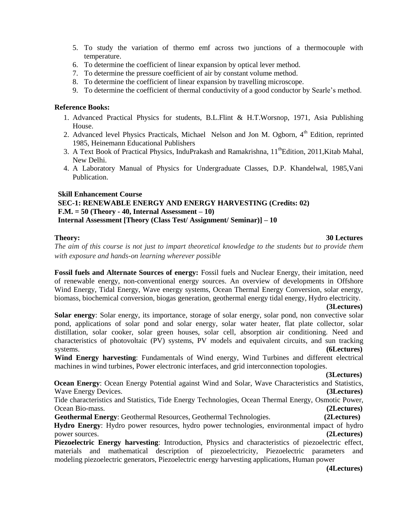- 5. To study the variation of thermo emf across two junctions of a thermocouple with temperature.
- 6. To determine the coefficient of linear expansion by optical lever method.
- 7. To determine the pressure coefficient of air by constant volume method.
- 8. To determine the coefficient of linear expansion by travelling microscope.
- 9. To determine the coefficient of thermal conductivity of a good conductor by Searle's method.

### **Reference Books:**

- 1. Advanced Practical Physics for students, B.L.Flint & H.T.Worsnop, 1971, Asia Publishing House.
- 2. Advanced level Physics Practicals, Michael Nelson and Jon M. Ogborn, 4<sup>th</sup> Edition, reprinted 1985, Heinemann Educational Publishers
- 3. A Text Book of Practical Physics, InduPrakash and Ramakrishna, 11<sup>th</sup>Edition, 2011, Kitab Mahal, New Delhi.
- 4. A Laboratory Manual of Physics for Undergraduate Classes, D.P. Khandelwal, 1985,Vani Publication.

### **Skill Enhancement Course**

### **SEC-1: RENEWABLE ENERGY AND ENERGY HARVESTING (Credits: 02) F.M. = 50 (Theory - 40, Internal Assessment – 10) Internal Assessment [Theory (Class Test/ Assignment/ Seminar)] – 10**

### **Theory: 30 Lectures**

*The aim of this course is not just to impart theoretical knowledge to the students but to provide them with exposure and hands-on learning wherever possible*

**Fossil fuels and Alternate Sources of energy:** Fossil fuels and Nuclear Energy, their imitation, need of renewable energy, non-conventional energy sources. An overview of developments in Offshore Wind Energy, Tidal Energy, Wave energy systems, Ocean Thermal Energy Conversion, solar energy, biomass, biochemical conversion, biogas generation, geothermal energy tidal energy, Hydro electricity.

### **(3Lectures)**

**Solar energy**: Solar energy, its importance, storage of solar energy, solar pond, non convective solar pond, applications of solar pond and solar energy, solar water heater, flat plate collector, solar distillation, solar cooker, solar green houses, solar cell, absorption air conditioning. Need and characteristics of photovoltaic (PV) systems, PV models and equivalent circuits, and sun tracking systems. **(6Lectures)**

**Wind Energy harvesting**: Fundamentals of Wind energy, Wind Turbines and different electrical machines in wind turbines, Power electronic interfaces, and grid interconnection topologies.

### **(3Lectures)**

**Ocean Energy:** Ocean Energy Potential against Wind and Solar, Wave Characteristics and Statistics, Wave Energy Devices. **(3Lectures)**

 Tide characteristics and Statistics, Tide Energy Technologies, Ocean Thermal Energy, Osmotic Power, Ocean Bio-mass. **(2Lectures)**

**Geothermal Energy**: Geothermal Resources, Geothermal Technologies. **(2Lectures)**

 **Hydro Energy**: Hydro power resources, hydro power technologies, environmental impact of hydro power sources. **(2Lectures)**

**Piezoelectric Energy harvesting**: Introduction, Physics and characteristics of piezoelectric effect, materials and mathematical description of piezoelectricity, Piezoelectric parameters and modeling piezoelectric generators, Piezoelectric energy harvesting applications, Human power

 **(4Lectures)**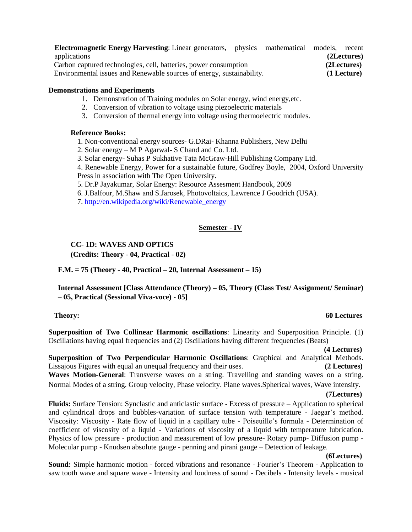**Electromagnetic Energy Harvesting**: Linear generators, physics mathematical models, recent applications **(2Lectures)** Carbon captured technologies, cell, batteries, power consumption **(2Lectures)** Environmental issues and Renewable sources of energy, sustainability. **(1 Lecture)**

### **Demonstrations and Experiments**

- 1. Demonstration of Training modules on Solar energy, wind energy,etc.
- 2. Conversion of vibration to voltage using piezoelectric materials
- 3. Conversion of thermal energy into voltage using thermoelectric modules.

### **Reference Books:**

- 1. Non-conventional energy sources- G.DRai- Khanna Publishers, New Delhi
- 2. Solar energy M P Agarwal- S Chand and Co. Ltd.
- 3. Solar energy- Suhas P Sukhative Tata McGraw-Hill Publishing Company Ltd.

4. Renewable Energy, Power for a sustainable future, Godfrey Boyle, 2004, Oxford University

Press in association with The Open University.

- 5. Dr.P Jayakumar, Solar Energy: Resource Assesment Handbook, 2009
- 6. J.Balfour, M.Shaw and S.Jarosek, Photovoltaics, Lawrence J Goodrich (USA).
- 7. [http://en.wikipedia.org/wiki/Renewable\\_energy](http://en.wikipedia.org/wiki/Renewable_energy)

### **Semester - IV**

### **CC- 1D: WAVES AND OPTICS**

**(Credits: Theory - 04, Practical - 02)**

**F.M. = 75 (Theory - 40, Practical – 20, Internal Assessment – 15)**

**Internal Assessment [Class Attendance (Theory) – 05, Theory (Class Test/ Assignment/ Seminar) – 05, Practical (Sessional Viva-voce) - 05]**

### **Theory: 60 Lectures**

**Superposition of Two Collinear Harmonic oscillations**: Linearity and Superposition Principle. (1) Oscillations having equal frequencies and (2) Oscillations having different frequencies (Beats)

### **(4 Lectures)**

**Superposition of Two Perpendicular Harmonic Oscillations**: Graphical and Analytical Methods. Lissajous Figures with equal an unequal frequency and their uses. **(2 Lectures) Waves Motion-General**: Transverse waves on a string. Travelling and standing waves on a string. Normal Modes of a string. Group velocity, Phase velocity. Plane waves.Spherical waves, Wave intensity.

### **(7Lectures)**

**Fluids:** Surface Tension: Synclastic and anticlastic surface - Excess of pressure – Application to spherical and cylindrical drops and bubbles-variation of surface tension with temperature - Jaegar's method. Viscosity: Viscosity - Rate flow of liquid in a capillary tube - Poiseuille's formula - Determination of coefficient of viscosity of a liquid - Variations of viscosity of a liquid with temperature lubrication. Physics of low pressure - production and measurement of low pressure- Rotary pump- Diffusion pump - Molecular pump - Knudsen absolute gauge - penning and pirani gauge – Detection of leakage.

### **(6Lectures)**

**Sound:** Simple harmonic motion - forced vibrations and resonance - Fourier's Theorem - Application to saw tooth wave and square wave - Intensity and loudness of sound - Decibels - Intensity levels - musical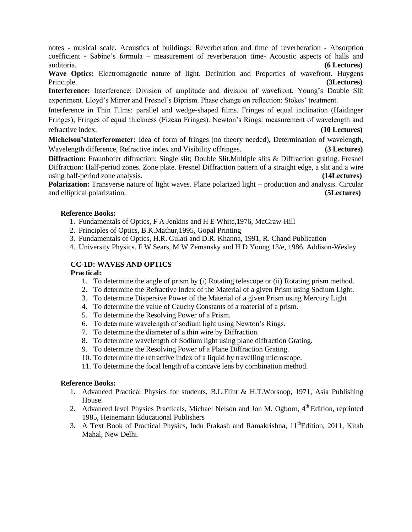notes - musical scale. Acoustics of buildings: Reverberation and time of reverberation - Absorption coefficient - Sabine's formula – measurement of reverberation time- Acoustic aspects of halls and auditoria. **(6 Lectures)**

**Wave Optics:** Electromagnetic nature of light. Definition and Properties of wavefront. Huygens Principle. **(3Lectures)**

**Interference:** Interference: Division of amplitude and division of wavefront. Young's Double Slit experiment. Lloyd's Mirror and Fresnel's Biprism. Phase change on reflection: Stokes' treatment.

Interference in Thin Films: parallel and wedge-shaped films. Fringes of equal inclination (Haidinger Fringes); Fringes of equal thickness (Fizeau Fringes). Newton's Rings: measurement of wavelength and refractive index. **(10 Lectures)**

**Michelson'sInterferometer:** Idea of form of fringes (no theory needed), Determination of wavelength, Wavelength difference, Refractive index and Visibility offringes. **(3 Lectures)**

**Diffraction:** Fraunhofer diffraction: Single slit; Double Slit.Multiple slits & Diffraction grating. Fresnel Diffraction: Half-period zones. Zone plate. Fresnel Diffraction pattern of a straight edge, a slit and a wire using half-period zone analysis. **(14Lectures)**

**Polarization:** Transverse nature of light waves. Plane polarized light – production and analysis. Circular and elliptical polarization. **(5Lectures)**

### **Reference Books:**

- 1. Fundamentals of Optics, F A Jenkins and H E White,1976, McGraw-Hill
- 2. Principles of Optics, B.K.Mathur,1995, Gopal Printing
- 3. Fundamentals of Optics, H.R. Gulati and D.R. Khanna, 1991, R. Chand Publication
- 4. University Physics. F W Sears, M W Zemansky and H D Young 13/e, 1986. Addison-Wesley

### **CC-1D: WAVES AND OPTICS**

### **Practical:**

- 1. To determine the angle of prism by (i) Rotating telescope or (ii) Rotating prism method.
- 2. To determine the Refractive Index of the Material of a given Prism using Sodium Light.
- 3. To determine Dispersive Power of the Material of a given Prism using Mercury Light
- 4. To determine the value of Cauchy Constants of a material of a prism.
- 5. To determine the Resolving Power of a Prism.
- 6. To determine wavelength of sodium light using Newton's Rings.
- 7. To determine the diameter of a thin wire by Diffraction.
- 8. To determine wavelength of Sodium light using plane diffraction Grating.
- 9. To determine the Resolving Power of a Plane Diffraction Grating.
- 10. To determine the refractive index of a liquid by travelling microscope.
- 11. To determine the focal length of a concave lens by combination method.

### **Reference Books:**

- 1. Advanced Practical Physics for students, B.L.Flint & H.T.Worsnop, 1971, Asia Publishing House.
- 2. Advanced level Physics Practicals, Michael Nelson and Jon M. Ogborn, 4<sup>th</sup> Edition, reprinted 1985, Heinemann Educational Publishers
- 3. A Text Book of Practical Physics, Indu Prakash and Ramakrishna,  $11^{th}$ Edition, 2011, Kitab Mahal, New Delhi.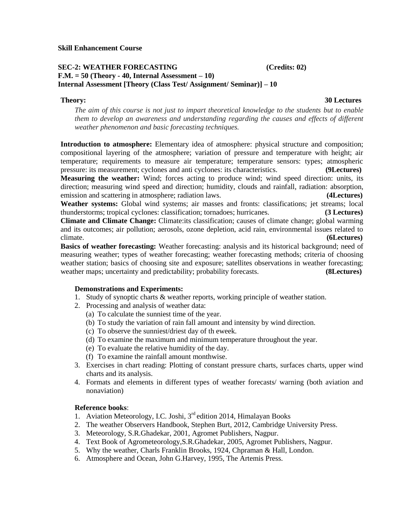### **SEC-2: WEATHER FORECASTING (Credits: 02) F.M. = 50 (Theory - 40, Internal Assessment – 10) Internal Assessment [Theory (Class Test/ Assignment/ Seminar)] – 10**

### **Theory: 30 Lectures**

*The aim of this course is not just to impart theoretical knowledge to the students but to enable them to develop an awareness and understanding regarding the causes and effects of different weather phenomenon and basic forecasting techniques.*

**Introduction to atmosphere:** Elementary idea of atmosphere: physical structure and composition; compositional layering of the atmosphere; variation of pressure and temperature with height; air temperature; requirements to measure air temperature; temperature sensors: types; atmospheric pressure: its measurement; cyclones and anti cyclones: its characteristics. **(9Lectures) Measuring the weather:** Wind; forces acting to produce wind; wind speed direction: units, its direction; measuring wind speed and direction; humidity, clouds and rainfall, radiation: absorption, emission and scattering in atmosphere; radiation laws. **(4Lectures)**

**Weather systems:** Global wind systems; air masses and fronts: classifications; jet streams; local thunderstorms; tropical cyclones: classification; tornadoes; hurricanes. **(3 Lectures)**

**Climate and Climate Change:** Climate:its classification; causes of climate change; global warming and its outcomes; air pollution; aerosols, ozone depletion, acid rain, environmental issues related to climate. **(6Lectures)**

**Basics of weather forecasting:** Weather forecasting: analysis and its historical background; need of measuring weather; types of weather forecasting; weather forecasting methods; criteria of choosing weather station; basics of choosing site and exposure; satellites observations in weather forecasting; weather maps; uncertainty and predictability; probability forecasts. **(8Lectures)**

### **Demonstrations and Experiments:**

- 1. Study of synoptic charts & weather reports, working principle of weather station.
- 2. Processing and analysis of weather data:
	- (a) To calculate the sunniest time of the year.
	- (b) To study the variation of rain fall amount and intensity by wind direction.
	- (c) To observe the sunniest/driest day of th eweek.
	- (d) To examine the maximum and minimum temperature throughout the year.
	- (e) To evaluate the relative humidity of the day.
	- (f) To examine the rainfall amount monthwise.
- 3. Exercises in chart reading: Plotting of constant pressure charts, surfaces charts, upper wind charts and its analysis.
- 4. Formats and elements in different types of weather forecasts/ warning (both aviation and nonaviation)

### **Reference books**:

- 1. Aviation Meteorology, I.C. Joshi, 3<sup>rd</sup> edition 2014, Himalayan Books
- 2. The weather Observers Handbook, Stephen Burt, 2012, Cambridge University Press.
- 3. Meteorology, S.R.Ghadekar, 2001, Agromet Publishers, Nagpur.
- 4. Text Book of Agrometeorology,S.R.Ghadekar, 2005, Agromet Publishers, Nagpur.
- 5. Why the weather, Charls Franklin Brooks, 1924, Chpraman & Hall, London.
- 6. Atmosphere and Ocean, John G.Harvey, 1995, The Artemis Press.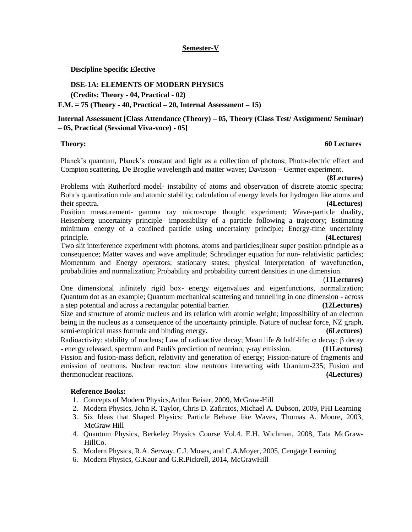### **Semester-V**

### **Discipline Specific Elective**

### **DSE-1A: ELEMENTS OF MODERN PHYSICS**

**(Credits: Theory - 04, Practical - 02)**

### **F.M. = 75 (Theory - 40, Practical – 20, Internal Assessment – 15)**

### **Internal Assessment [Class Attendance (Theory) – 05, Theory (Class Test/ Assignment/ Seminar) – 05, Practical (Sessional Viva-voce) - 05]**

### **Theory: 60 Lectures**

Planck's quantum, Planck's constant and light as a collection of photons; Photo-electric effect and Compton scattering. De Broglie wavelength and matter waves; Davisson – Germer experiment.

### **(8Lectures)**

Problems with Rutherford model- instability of atoms and observation of discrete atomic spectra; Bohr's quantization rule and atomic stability; calculation of energy levels for hydrogen like atoms and their spectra. **(4Lectures)**

Position measurement- gamma ray microscope thought experiment; Wave-particle duality, Heisenberg uncertainty principle- impossibility of a particle following a trajectory; Estimating minimum energy of a confined particle using uncertainty principle; Energy-time uncertainty principle. **(4Lectures)**

Two slit interference experiment with photons, atoms and particles;linear super position principle as a consequence; Matter waves and wave amplitude; Schrodinger equation for non- relativistic particles; Momentum and Energy operators; stationary states; physical interpretation of wavefunction, probabilities and normalization; Probability and probability current densities in one dimension.

### (**11Lectures)**

One dimensional infinitely rigid box- energy eigenvalues and eigenfunctions, normalization; Quantum dot as an example; Quantum mechanical scattering and tunnelling in one dimension - across a step potential and across a rectangular potential barrier. **(12Lectures)**

Size and structure of atomic nucleus and its relation with atomic weight; Impossibility of an electron being in the nucleus as a consequence of the uncertainty principle. Nature of nuclear force, NZ graph, semi-empirical mass formula and binding energy. **(6Lectures)**

Radioactivity: stability of nucleus; Law of radioactive decay; Mean life & half-life;  $\alpha$  decay;  $\beta$  decay - energy released, spectrum and Pauli's prediction of neutrino;  $\gamma$ -ray emission. **(11Lectures)** Fission and fusion-mass deficit, relativity and generation of energy; Fission-nature of fragments and emission of neutrons. Nuclear reactor: slow neutrons interacting with Uranium-235; Fusion and thermonuclear reactions. **(4Lectures)**

### **Reference Books:**

- 1. Concepts of Modern Physics,Arthur Beiser, 2009, McGraw-Hill
- 2. Modern Physics, John R. Taylor, Chris D. Zafiratos, Michael A. Dubson, 2009, PHI Learning
- 3. Six Ideas that Shaped Physics: Particle Behave like Waves, Thomas A. Moore, 2003, McGraw Hill
- 4. Quantum Physics, Berkeley Physics Course Vol.4. E.H. Wichman, 2008, Tata McGraw-HillCo.
- 5. Modern Physics, R.A. Serway, C.J. Moses, and C.A.Moyer, 2005, Cengage Learning
- 6. Modern Physics, G.Kaur and G.R.Pickrell, 2014, McGrawHill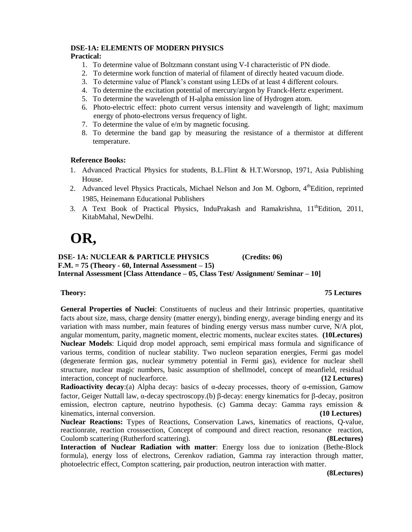### **DSE-1A: ELEMENTS OF MODERN PHYSICS**

### **Practical:**

- 1. To determine value of Boltzmann constant using V-I characteristic of PN diode.
- 2. To determine work function of material of filament of directly heated vacuum diode.
- 3. To determine value of Planck's constant using LEDs of at least 4 different colours.
- 4. To determine the excitation potential of mercury/argon by Franck-Hertz experiment.
- 5. To determine the wavelength of H-alpha emission line of Hydrogen atom.
- 6. Photo-electric effect: photo current versus intensity and wavelength of light; maximum energy of photo-electrons versus frequency of light.
- 7. To determine the value of e/m by magnetic focusing.
- 8. To determine the band gap by measuring the resistance of a thermistor at different temperature.

### **Reference Books:**

- 1. Advanced Practical Physics for students, B.L.Flint & H.T.Worsnop, 1971, Asia Publishing House.
- 2. Advanced level Physics Practicals, Michael Nelson and Jon M. Ogborn, 4<sup>th</sup>Edition, reprinted 1985, Heinemann Educational Publishers
- 3. A Text Book of Practical Physics, InduPrakash and Ramakrishna,  $11^{th}$ Edition, 2011, KitabMahal, NewDelhi.

# **OR,**

### **DSE- 1A: NUCLEAR & PARTICLE PHYSICS (Credits: 06) F.M. = 75 (Theory - 60, Internal Assessment – 15)**

**Internal Assessment [Class Attendance – 05, Class Test/ Assignment/ Seminar – 10]**

### **Theory: 75 Lectures**

**General Properties of Nuclei**: Constituents of nucleus and their Intrinsic properties, quantitative facts about size, mass, charge density (matter energy), binding energy, average binding energy and its variation with mass number, main features of binding energy versus mass number curve, N/A plot, angular momentum, parity, magnetic moment, electric moments, nuclear excites states. **(10Lectures) Nuclear Models**: Liquid drop model approach, semi empirical mass formula and significance of various terms, condition of nuclear stability. Two nucleon separation energies, Fermi gas model (degenerate fermion gas, nuclear symmetry potential in Fermi gas), evidence for nuclear shell structure, nuclear magic numbers, basic assumption of shellmodel, concept of meanfield, residual interaction, concept of nuclearforce. **(12 Lectures)**

**Radioactivity decay**:(a) Alpha decay: basics of  $\alpha$ -decay processes, theory of  $\alpha$ -emission, Gamow factor, Geiger Nuttall law, α-decay spectroscopy.(b)  $\beta$ -decay: energy kinematics for  $\beta$ -decay, positron emission, electron capture, neutrino hypothesis. (c) Gamma decay: Gamma rays emission & kinematics, internal conversion. **(10 Lectures)**

**Nuclear Reactions:** Types of Reactions, Conservation Laws, kinematics of reactions, Q-value, reactionrate, reaction crosssection, Concept of compound and direct reaction, resonance reaction, Coulomb scattering (Rutherford scattering). **(8Lectures)**

**Interaction of Nuclear Radiation with matter**: Energy loss due to ionization (Bethe-Block formula), energy loss of electrons, Cerenkov radiation, Gamma ray interaction through matter, photoelectric effect, Compton scattering, pair production, neutron interaction with matter.

 **(8Lectures)**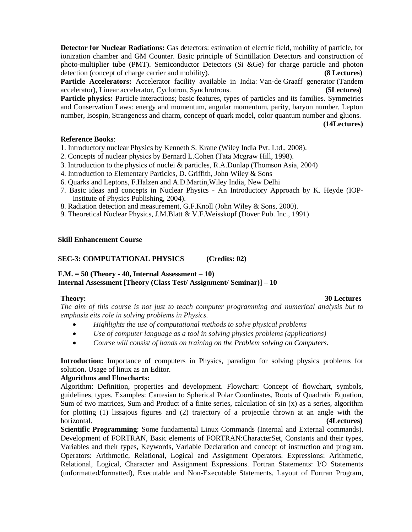**Detector for Nuclear Radiations:** Gas detectors: estimation of electric field, mobility of particle, for ionization chamber and GM Counter. Basic principle of Scintillation Detectors and construction of photo-multiplier tube (PMT). Semiconductor Detectors (Si &Ge) for charge particle and photon detection (concept of charge carrier and mobility). **(8 Lectures**)

Particle Accelerators: Accelerator facility available in India: Van-de Graaff generator (Tandem accelerator), Linear accelerator, Cyclotron, Synchrotrons. **(5Lectures)**

**Particle physics:** Particle interactions; basic features, types of particles and its families. Symmetries and Conservation Laws: energy and momentum, angular momentum, parity, baryon number, Lepton number, Isospin, Strangeness and charm, concept of quark model, color quantum number and gluons.

**(14Lectures)**

### **Reference Books**:

1. Introductory nuclear Physics by Kenneth S. Krane (Wiley India Pvt. Ltd., 2008).

- 2. Concepts of nuclear physics by Bernard L.Cohen (Tata Mcgraw Hill, 1998).
- 3. Introduction to the physics of nuclei & particles, R.A.Dunlap (Thomson Asia, 2004)
- 4. Introduction to Elementary Particles, D. Griffith, John Wiley & Sons
- 6. Quarks and Leptons, F.Halzen and A.D.Martin,Wiley India, New Delhi
- 7. Basic ideas and concepts in Nuclear Physics An Introductory Approach by K. Heyde (IOP-Institute of Physics Publishing, 2004).
- 8. Radiation detection and measurement, G.F.Knoll (John Wiley & Sons, 2000).
- 9. Theoretical Nuclear Physics, J.M.Blatt & V.F.Weisskopf (Dover Pub. Inc., 1991)

### **Skill Enhancement Course**

### **SEC-3: COMPUTATIONAL PHYSICS (Credits: 02)**

### **F.M. = 50 (Theory - 40, Internal Assessment – 10) Internal Assessment [Theory (Class Test/ Assignment/ Seminar)] – 10**

### **Theory:** 30 Lectures

*The aim of this course is not just to teach computer programming and numerical analysis but to emphasiz eits role in solving problems in Physics.*

- *Highlights the use of computational methods to solve physical problems*
- *Use of computer language as a tool in solving physics problems (applications)*
- *Course will consist of hands on training on the Problem solving on Computers.*

**Introduction:** Importance of computers in Physics, paradigm for solving physics problems for solution**.** Usage of linux as an Editor.

### **Algorithms and Flowcharts:**

Algorithm: Definition, properties and development. Flowchart: Concept of flowchart, symbols, guidelines, types. Examples: Cartesian to Spherical Polar Coordinates, Roots of Quadratic Equation, Sum of two matrices, Sum and Product of a finite series, calculation of  $sin(x)$  as a series, algorithm for plotting (1) lissajous figures and (2) trajectory of a projectile thrown at an angle with the horizontal. **(4Lectures)**

**Scientific Programming**: Some fundamental Linux Commands (Internal and External commands). Development of FORTRAN, Basic elements of FORTRAN:CharacterSet, Constants and their types, Variables and their types, Keywords, Variable Declaration and concept of instruction and program. Operators: Arithmetic, Relational, Logical and Assignment Operators. Expressions: Arithmetic, Relational, Logical, Character and Assignment Expressions. Fortran Statements: I/O Statements (unformatted/formatted), Executable and Non-Executable Statements, Layout of Fortran Program,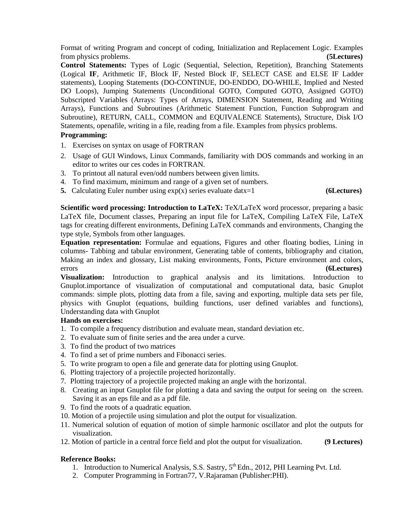Format of writing Program and concept of coding, Initialization and Replacement Logic. Examples from physics problems. **(5Lectures)**

**Control Statements:** Types of Logic (Sequential, Selection, Repetition), Branching Statements (Logical **IF**, Arithmetic IF, Block IF, Nested Block IF, SELECT CASE and ELSE IF Ladder statements), Looping Statements (DO-CONTINUE, DO-ENDDO, DO-WHILE, Implied and Nested DO Loops), Jumping Statements (Unconditional GOTO, Computed GOTO, Assigned GOTO) Subscripted Variables (Arrays: Types of Arrays, DIMENSION Statement, Reading and Writing Arrays), Functions and Subroutines (Arithmetic Statement Function, Function Subprogram and Subroutine), RETURN, CALL, COMMON and EQUIVALENCE Statements), Structure, Disk I/O Statements, openafile, writing in a file, reading from a file. Examples from physics problems.

### **Programming:**

- 1. Exercises on syntax on usage of FORTRAN
- 2. Usage of GUI Windows, Linux Commands, familiarity with DOS commands and working in an editor to writes our ces codes in FORTRAN.
- 3. To printout all natural even/odd numbers between given limits.
- 4. To find maximum, minimum and range of a given set of numbers.
- **5.** Calculating Euler number using exp(x) series evaluate datx=1 **(6Lectures)**

**Scientific word processing: Introduction to LaTeX:** TeX/LaTeX word processor, preparing a basic LaTeX file, Document classes, Preparing an input file for LaTeX, Compiling LaTeX File, LaTeX tags for creating different environments, Defining LaTeX commands and environments, Changing the type style, Symbols from other languages.

**Equation representation:** Formulae and equations, Figures and other floating bodies, Lining in columns- Tabbing and tabular environment, Generating table of contents, bibliography and citation, Making an index and glossary, List making environments, Fonts, Picture environment and colors, errors **(6Lectures)**

**Visualization:** Introduction to graphical analysis and its limitations. Introduction to Gnuplot.importance of visualization of computational and computational data, basic Gnuplot commands: simple plots, plotting data from a file, saving and exporting, multiple data sets per file, physics with Gnuplot (equations, building functions, user defined variables and functions), Understanding data with Gnuplot

### **Hands on exercises:**

- 1. To compile a frequency distribution and evaluate mean, standard deviation etc.
- 2. To evaluate sum of finite series and the area under a curve.
- 3. To find the product of two matrices
- 4. To find a set of prime numbers and Fibonacci series.
- 5. To write program to open a file and generate data for plotting using Gnuplot.
- 6. Plotting trajectory of a projectile projected horizontally.
- 7. Plotting trajectory of a projectile projected making an angle with the horizontal.
- 8. Creating an input Gnuplot file for plotting a data and saving the output for seeing on the screen. Saving it as an eps file and as a pdf file.
- 9. To find the roots of a quadratic equation.
- 10. Motion of a projectile using simulation and plot the output for visualization.
- 11. Numerical solution of equation of motion of simple harmonic oscillator and plot the outputs for visualization.
- 12. Motion of particle in a central force field and plot the output for visualization. **(9 Lectures)**

### **Reference Books:**

- 1. Introduction to Numerical Analysis, S.S. Sastry, 5<sup>th</sup> Edn., 2012, PHI Learning Pvt. Ltd.
- 2. Computer Programming in Fortran77, V.Rajaraman (Publisher:PHI).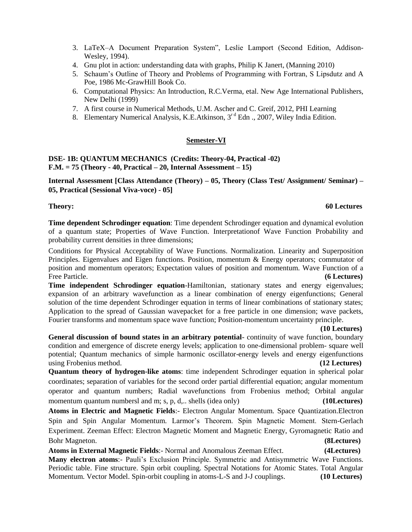- 3. LaTeX–A Document Preparation System", Leslie Lamport (Second Edition, Addison-Wesley, 1994).
- 4. Gnu plot in action: understanding data with graphs, Philip K Janert, (Manning 2010)
- 5. Schaum's Outline of Theory and Problems of Programming with Fortran, S Lipsdutz and A Poe, 1986 Mc-GrawHill Book Co.
- 6. Computational Physics: An Introduction, R.C.Verma, etal. New Age International Publishers, New Delhi (1999)
- 7. A first course in Numerical Methods, U.M. Ascher and C. Greif, 2012, PHI Learning
- 8. Elementary Numerical Analysis, K.E.Atkinson, 3<sup>rd</sup> Edn., 2007, Wiley India Edition.

### **Semester-VI**

### **DSE- 1B: QUANTUM MECHANICS (Credits: Theory-04, Practical -02) F.M. = 75 (Theory - 40, Practical – 20, Internal Assessment – 15)**

**Internal Assessment [Class Attendance (Theory) – 05, Theory (Class Test/ Assignment/ Seminar) – 05, Practical (Sessional Viva-voce) - 05]**

### **Theory: 60 Lectures**

**Time dependent Schrodinger equation**: Time dependent Schrodinger equation and dynamical evolution of a quantum state; Properties of Wave Function. Interpretationof Wave Function Probability and probability current densities in three dimensions;

Conditions for Physical Acceptability of Wave Functions. Normalization. Linearity and Superposition Principles. Eigenvalues and Eigen functions. Position, momentum & Energy operators; commutator of position and momentum operators; Expectation values of position and momentum. Wave Function of a Free Particle. **(6 Lectures)**

**Time independent Schrodinger equation-Hamiltonian, stationary states and energy eigenvalues;** expansion of an arbitrary wavefunction as a linear combination of energy eigenfunctions; General solution of the time dependent Schrodinger equation in terms of linear combinations of stationary states; Application to the spread of Gaussian wavepacket for a free particle in one dimension; wave packets, Fourier transforms and momentum space wave function; Position-momentum uncertainty principle.

### **(10 Lectures)**

**General discussion of bound states in an arbitrary potential**- continuity of wave function, boundary condition and emergence of discrete energy levels; application to one-dimensional problem- square well potential; Quantum mechanics of simple harmonic oscillator-energy levels and energy eigenfunctions using Frobenius method. **(12 Lectures)**

**Quantum theory of hydrogen-like atoms**: time independent Schrodinger equation in spherical polar coordinates; separation of variables for the second order partial differential equation; angular momentum operator and quantum numbers; Radial wavefunctions from Frobenius method; Orbital angular momentum quantum numbersl and m; s, p, d,.. shells (idea only) **(10Lectures)**

**Atoms in Electric and Magnetic Fields**:- Electron Angular Momentum. Space Quantization.Electron Spin and Spin Angular Momentum. Larmor's Theorem. Spin Magnetic Moment. Stern-Gerlach Experiment. Zeeman Effect: Electron Magnetic Moment and Magnetic Energy, Gyromagnetic Ratio and Bohr Magneton. **(8Lectures)**

### **Atoms in External Magnetic Fields**:- Normal and Anomalous Zeeman Effect. **(4Lectures) Many electron atoms**:- Pauli's Exclusion Principle. Symmetric and Antisymmetric Wave Functions. Periodic table. Fine structure. Spin orbit coupling. Spectral Notations for Atomic States. Total Angular Momentum. Vector Model. Spin-orbit coupling in atoms-L-S and J-J couplings. **(10 Lectures)**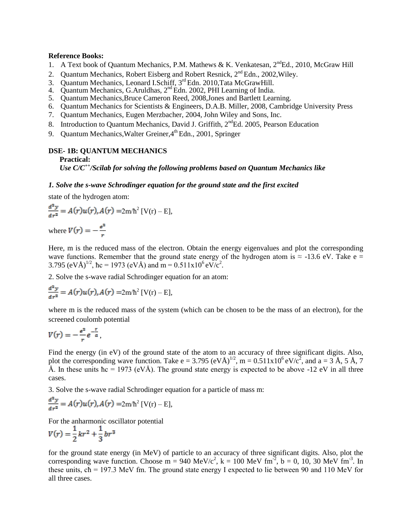### **Reference Books:**

- 1. A Text book of Quantum Mechanics, P.M. Mathews & K. Venkatesan,  $2^{nd}Ed.$ , 2010, McGraw Hill
- 2. Quantum Mechanics, Robert Eisberg and Robert Resnick, 2<sup>nd</sup> Edn., 2002, Wiley.
- 3. Quantum Mechanics, Leonard I.Schiff, 3<sup>rd</sup> Edn. 2010, Tata McGrawHill.
- 4. Quantum Mechanics, G.Aruldhas,  $2^{nd}$  Edn. 2002, PHI Learning of India.
- 5. Quantum Mechanics,Bruce Cameron Reed, 2008,Jones and Bartlett Learning.
- 6. Quantum Mechanics for Scientists & Engineers, D.A.B. Miller, 2008, Cambridge University Press
- 7. Quantum Mechanics, Eugen Merzbacher, 2004, John Wiley and Sons, Inc.
- 8. Introduction to Quantum Mechanics, David J. Griffith,  $2<sup>nd</sup>Ed. 2005$ , Pearson Education
- 9. Quantum Mechanics, Walter Greiner,  $4^{th}$  Edn., 2001, Springer

### **DSE- 1B: QUANTUM MECHANICS**

### **Practical:**

*Use C/C++/Scilab for solving the following problems based on Quantum Mechanics like*

### *1. Solve the s-wave Schrodinger equation for the ground state and the first excited*

state of the hydrogen atom:

$$
\frac{d^2y}{dr^2} = A(r)u(r), A(r) = 2m/\hbar^2 [V(r) - E],
$$

where  $V(r) = -\frac{r}{r}$ 

Here, m is the reduced mass of the electron. Obtain the energy eigenvalues and plot the corresponding wave functions. Remember that the ground state energy of the hydrogen atom is  $\approx$  -13.6 eV. Take e = 3.795 (eVÅ)<sup>1/2</sup>, hc = 1973 (eVÅ) and m =  $0.511 \times 10^6$  eV/c<sup>2</sup>.

2. Solve the s-wave radial Schrodinger equation for an atom:

$$
\frac{d^2y}{dr^2} = A(r)u(r), A(r) = 2m/\hbar^2 [V(r) - E],
$$

where m is the reduced mass of the system (which can be chosen to be the mass of an electron), for the screened coulomb potential

$$
V(r)=-\frac{e^2}{r}e^{-\frac{r}{a}},
$$

Find the energy (in eV) of the ground state of the atom to an accuracy of three significant digits. Also, plot the corresponding wave function. Take  $e = 3.795$  (eV $\AA$ )<sup>1/2</sup>, m =  $0.511 \times 10^6$  eV/ $c^2$ , and a = 3 Å, 5 Å, 7 Å. In these units  $\hbar c = 1973$  (eVÅ). The ground state energy is expected to be above -12 eV in all three cases.

3. Solve the s-wave radial Schrodinger equation for a particle of mass m:

$$
\frac{d^2y}{dr^2} = A(r)u(r), A(r) = 2m/\hbar^2 [V(r) - E],
$$

For the anharmonic oscillator potential

$$
V(r) = \frac{1}{2}kr^2 + \frac{1}{3}br^3
$$

for the ground state energy (in MeV) of particle to an accuracy of three significant digits. Also, plot the corresponding wave function. Choose m = 940 MeV/ $c^2$ , k = 100 MeV fm<sup>-2</sup>, b = 0, 10, 30 MeV fm<sup>-3</sup>. In these units, cħ = 197.3 MeV fm. The ground state energy I expected to lie between 90 and 110 MeV for all three cases.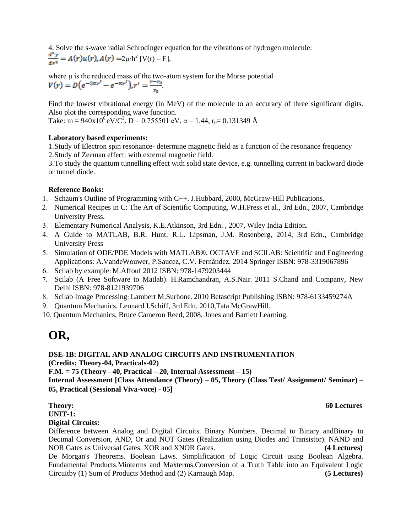4. Solve the s-wave radial Schrodinger equation for the vibrations of hydrogen molecule:  $2\mu/\hbar^2$  [V(r) – E],

where  $\mu$  is the reduced mass of the two-atom system for the Morse potential  $V(r) = D(e^{-2\alpha r'} - e^{-\alpha r'})$ ,  $r' = \frac{r-r_0}{r_0}$ 

Find the lowest vibrational energy (in MeV) of the molecule to an accuracy of three significant digits. Also plot the corresponding wave function.

Take: m =  $940x10^6$  eV/C<sup>2</sup>, D = 0.755501 eV,  $\alpha$  = 1.44, r<sub>0</sub> = 0.131349 Å

### **Laboratory based experiments:**

1.Study of Electron spin resonance- determine magnetic field as a function of the resonance frequency 2.Study of Zeeman effect: with external magnetic field.

3.To study the quantum tunnelling effect with solid state device, e.g. tunnelling current in backward diode or tunnel diode.

### **Reference Books:**

- 1. Schaum's Outline of Programming with C++. J.Hubbard, 2000, McGraw-Hill Publications.
- Numerical Recipes in C: The Art of Scientific Computing, W.H.Press et al., 3rd Edn., 2007, Cambridge University Press.
- Elementary Numerical Analysis, K.E.Atkinson, 3rd Edn. , 2007, Wiley India Edition.
- A Guide to MATLAB, B.R. Hunt, R.L. Lipsman, J.M. Rosenberg, 2014, 3rd Edn., Cambridge University Press
- Simulation of ODE/PDE Models with MATLAB®, OCTAVE and SCILAB: Scientific and Engineering Applications: A.VandeWouwer, P.Saucez, C.V. Fernández. 2014 Springer ISBN: 978-3319067896
- 6. Scilab by example: M.Affouf 2012 ISBN: 978-1479203444
- Scilab (A Free Software to Matlab): H.Ramchandran, A.S.Nair. 2011 S.Chand and Company, New Delhi ISBN: 978-8121939706
- Scilab Image Processing: Lambert M.Surhone. 2010 Betascript Publishing ISBN: 978-6133459274A
- Quantum Mechanics, Leonard I.Schiff, 3rd Edn. 2010,Tata McGrawHill.
- 10. Quantum Mechanics, Bruce Cameron Reed, 2008, Jones and Bartlett Learning.

## **OR,**

### **DSE-1B: DIGITAL AND ANALOG CIRCUITS AND INSTRUMENTATION**

**(Credits: Theory-04, Practicals-02)** 

**F.M. = 75 (Theory - 40, Practical – 20, Internal Assessment – 15)**

**Internal Assessment [Class Attendance (Theory) – 05, Theory (Class Test/ Assignment/ Seminar) – 05, Practical (Sessional Viva-voce) - 05]**

**UNIT-1:** 

### **Digital Circuits:**

Difference between Analog and Digital Circuits. Binary Numbers. Decimal to Binary andBinary to Decimal Conversion, AND, Or and NOT Gates (Realization using Diodes and Transistor). NAND and NOR Gates as Universal Gates. XOR and XNOR Gates. **(4 Lectures)**

De Morgan's Theorems. Boolean Laws. Simplification of Logic Circuit using Boolean Algebra. Fundamental Products.Minterms and Maxterms.Conversion of a Truth Table into an Equivalent Logic Circuitby (1) Sum of Products Method and (2) Karnaugh Map. **(5 Lectures)**

**Theory: 60 Lectures**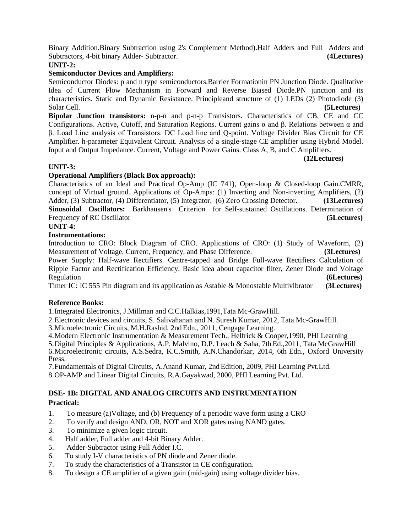Binary Addition.Binary Subtraction using 2's Complement Method).Half Adders and Full Adders and Subtractors, 4-bit binary Adder- Subtractor. **(4Lectures)**

### **UNIT-2:**

### **Semiconductor Devices and Amplifiers:**

Semiconductor Diodes: p and n type semiconductors.Barrier Formationin PN Junction Diode. Qualitative Idea of Current Flow Mechanism in Forward and Reverse Biased Diode.PN junction and its characteristics. Static and Dynamic Resistance. Principleand structure of (1) LEDs (2) Photodiode (3) Solar Cell. **(5Lectures)**

**Bipolar Junction transistors:** n-p-n and p-n-p Transistors. Characteristics of CB, CE and CC Configurations. Active, Cutoff, and Saturation Regions. Current gains α and β. Relations between α and β. Load Line analysis of Transistors. DC Load line and Q-point. Voltage Divider Bias Circuit for CE Amplifier. h-parameter Equivalent Circuit. Analysis of a single-stage CE amplifier using Hybrid Model. Input and Output Impedance. Current, Voltage and Power Gains. Class A, B, and C Amplifiers.

### **(12Lectures)**

### **UNIT-3:**

### **Operational Amplifiers (Black Box approach):**

Characteristics of an Ideal and Practical Op-Amp (IC 741), Open-loop & Closed-loop Gain.CMRR, concept of Virtual ground. Applications of Op-Amps: (1) Inverting and Non-inverting Amplifiers, (2) Adder, (3) Subtractor, (4) Differentiator, (5) Integrator, (6) Zero Crossing Detector. **(13Lectures) Sinusoidal Oscillators:** Barkhausen's Criterion for Self-sustained Oscillations. Determination of Frequency of RC Oscillator **(5Lectures)**

### **UNIT-4:**

### **Instrumentations:**

Introduction to CRO: Block Diagram of CRO. Applications of CRO: (1) Study of Waveform, (2) Measurement of Voltage, Current, Frequency, and Phase Difference. **(3Lectures)**

Power Supply: Half-wave Rectifiers. Centre-tapped and Bridge Full-wave Rectifiers Calculation of Ripple Factor and Rectification Efficiency, Basic idea about capacitor filter, Zener Diode and Voltage Regulation **(6Lectures)**

Timer IC: IC 555 Pin diagram and its application as Astable & Monostable Multivibrator **(3Lectures)**

### **Reference Books:**

1.Integrated Electronics, J.Millman and C.C.Halkias,1991,Tata Mc-GrawHill.

2.Electronic devices and circuits, S. Salivahanan and N. Suresh Kumar, 2012, Tata Mc-GrawHill.

3.Microelectronic Circuits, M.H.Rashid, 2ndEdn., 2011, Cengage Learning.

4.Modern Electronic Instrumentation & Measurement Tech., Helfrick & Cooper,1990, PHI Learning

5.Digital Principles & Applications, A.P. Malvino, D.P. Leach & Saha, 7th Ed.,2011, Tata McGrawHill 6.Microelectronic circuits, A.S.Sedra, K.C.Smith, A.N.Chandorkar, 2014, 6th Edn., Oxford University Press.

7.Fundamentals of Digital Circuits, A.Anand Kumar, 2nd Edition, 2009, PHI Learning Pvt.Ltd. 8.OP-AMP and Linear Digital Circuits, R.A.Gayakwad, 2000, PHI Learning Pvt. Ltd.

### **DSE- 1B: DIGITAL AND ANALOG CIRCUITS AND INSTRUMENTATION Practical:**

- 1. To measure (a)Voltage, and (b) Frequency of a periodic wave form using a CRO
- 2. To verify and design AND, OR, NOT and XOR gates using NAND gates.
- 3. To minimize a given logic circuit.
- 4. Half adder, Full adder and 4-bit Binary Adder.
- 5. Adder-Subtractor using Full Adder I.C.
- 6. To study I-V characteristics of PN diode and Zener diode.
- 7. To study the characteristics of a Transistor in CE configuration.
- 8. To design a CE amplifier of a given gain (mid-gain) using voltage divider bias.